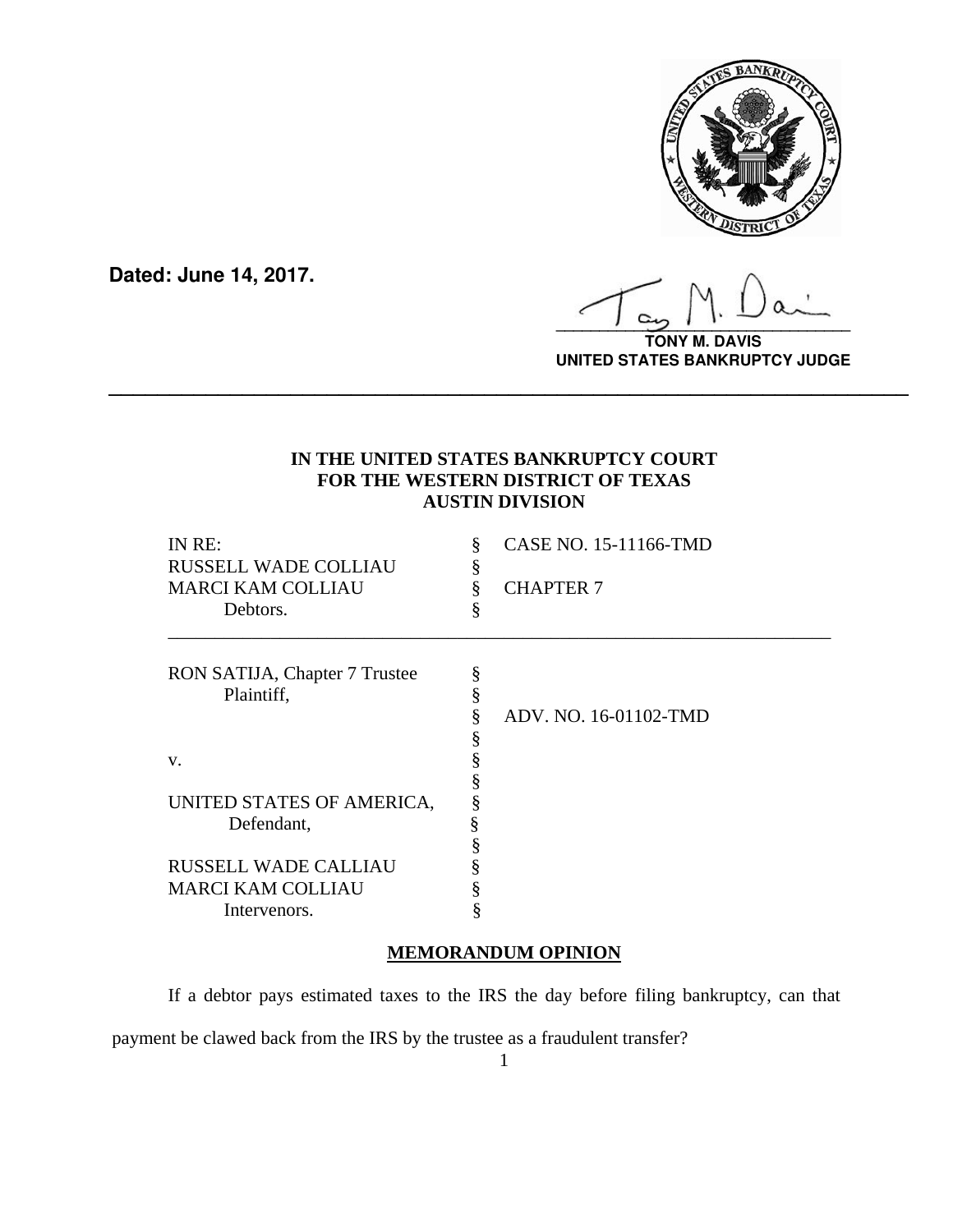

**Dated: June 14, 2017.**

**\_\_\_\_\_\_\_\_\_\_\_\_\_\_\_\_\_\_\_\_\_\_\_\_\_\_\_\_\_\_\_\_\_\_**

**TONY M. DAVIS UNITED STATES BANKRUPTCY JUDGE**

# **IN THE UNITED STATES BANKRUPTCY COURT FOR THE WESTERN DISTRICT OF TEXAS AUSTIN DIVISION**

**\_\_\_\_\_\_\_\_\_\_\_\_\_\_\_\_\_\_\_\_\_\_\_\_\_\_\_\_\_\_\_\_\_\_\_\_\_\_\_\_\_\_\_\_\_\_\_\_\_\_\_\_\_\_\_\_\_\_\_\_\_\_\_\_\_\_**

| IN RE:<br><b>RUSSELL WADE COLLIAU</b><br><b>MARCI KAM COLLIAU</b><br>Debtors. | §<br>ş<br>§ | CASE NO. 15-11166-TMD<br><b>CHAPTER 7</b> |
|-------------------------------------------------------------------------------|-------------|-------------------------------------------|
| RON SATIJA, Chapter 7 Trustee<br>Plaintiff,                                   | §<br>§      |                                           |
|                                                                               | §           | ADV. NO. 16-01102-TMD                     |
|                                                                               | ş           |                                           |
| V.                                                                            | §           |                                           |
|                                                                               | §           |                                           |
| UNITED STATES OF AMERICA,                                                     | §           |                                           |
| Defendant,                                                                    | §           |                                           |
|                                                                               | ş           |                                           |
| <b>RUSSELL WADE CALLIAU</b>                                                   |             |                                           |
| <b>MARCI KAM COLLIAU</b>                                                      |             |                                           |
| Intervenors.                                                                  | §           |                                           |

## **MEMORANDUM OPINION**

If a debtor pays estimated taxes to the IRS the day before filing bankruptcy, can that payment be clawed back from the IRS by the trustee as a fraudulent transfer?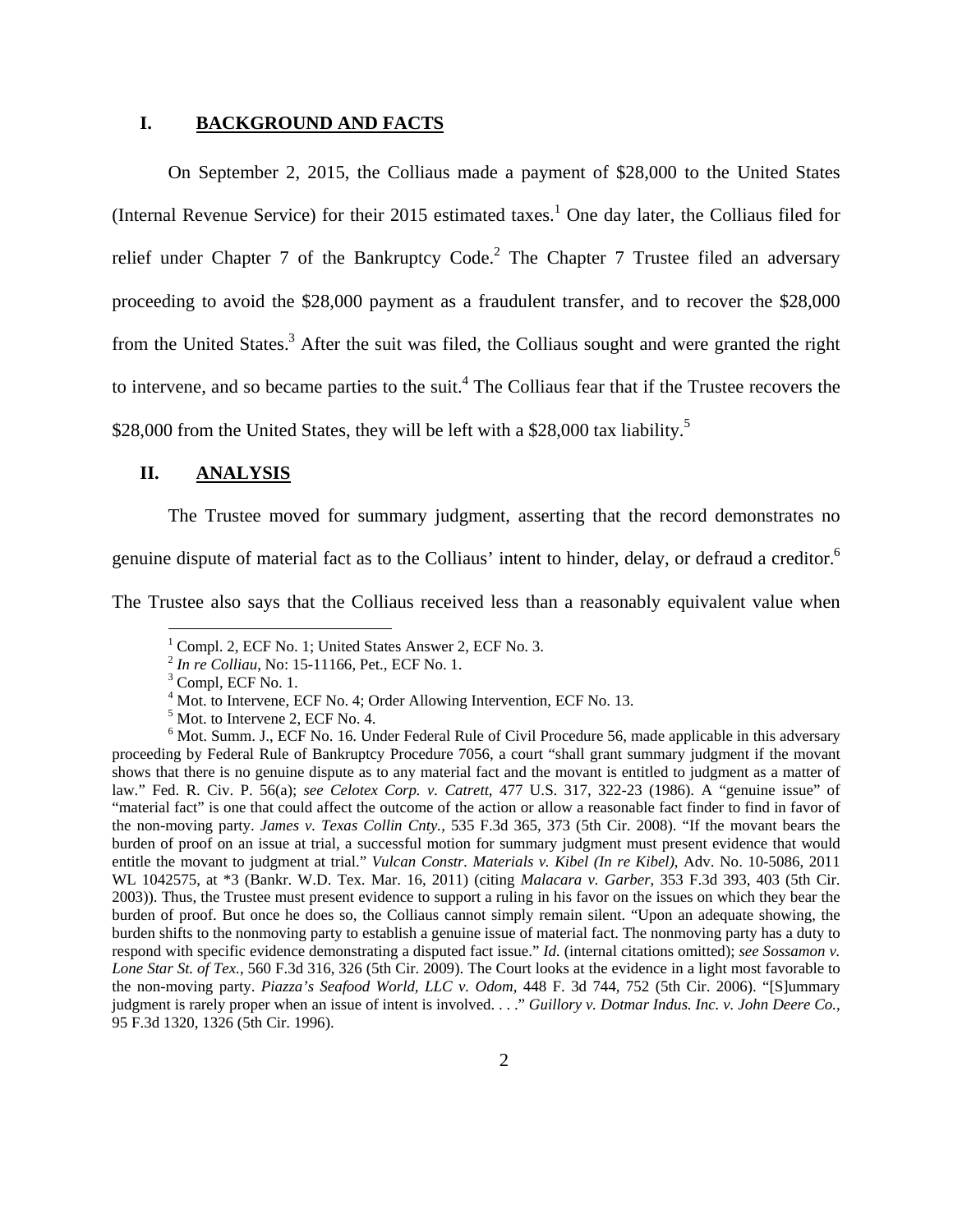#### **I. BACKGROUND AND FACTS**

 On September 2, 2015, the Colliaus made a payment of \$28,000 to the United States (Internal Revenue Service) for their 2015 estimated taxes.<sup>1</sup> One day later, the Colliaus filed for relief under Chapter 7 of the Bankruptcy Code.<sup>2</sup> The Chapter 7 Trustee filed an adversary proceeding to avoid the \$28,000 payment as a fraudulent transfer, and to recover the \$28,000 from the United States.<sup>3</sup> After the suit was filed, the Colliaus sought and were granted the right to intervene, and so became parties to the suit.<sup>4</sup> The Colliaus fear that if the Trustee recovers the \$28,000 from the United States, they will be left with a \$28,000 tax liability.<sup>5</sup>

## **II. ANALYSIS**

The Trustee moved for summary judgment, asserting that the record demonstrates no genuine dispute of material fact as to the Colliaus' intent to hinder, delay, or defraud a creditor.<sup>6</sup>

The Trustee also says that the Colliaus received less than a reasonably equivalent value when

<u>.</u>

<sup>&</sup>lt;sup>1</sup> Compl. 2, ECF No. 1; United States Answer 2, ECF No. 3.

<sup>2</sup> *In re Colliau*, No: 15-11166, Pet., ECF No. 1. 3

 $3$  Compl, ECF No. 1.

<sup>&</sup>lt;sup>4</sup> Mot. to Intervene, ECF No. 4; Order Allowing Intervention, ECF No. 13.

<sup>&</sup>lt;sup>5</sup> Mot. to Intervene 2, ECF No. 4.

<sup>&</sup>lt;sup>6</sup> Mot. Summ. J., ECF No. 16. Under Federal Rule of Civil Procedure 56, made applicable in this adversary proceeding by Federal Rule of Bankruptcy Procedure 7056, a court "shall grant summary judgment if the movant shows that there is no genuine dispute as to any material fact and the movant is entitled to judgment as a matter of law." Fed. R. Civ. P. 56(a); *see Celotex Corp. v. Catrett*, 477 U.S. 317, 322-23 (1986). A "genuine issue" of "material fact" is one that could affect the outcome of the action or allow a reasonable fact finder to find in favor of the non-moving party. *James v. Texas Collin Cnty.*, 535 F.3d 365, 373 (5th Cir. 2008). "If the movant bears the burden of proof on an issue at trial, a successful motion for summary judgment must present evidence that would entitle the movant to judgment at trial." *Vulcan Constr. Materials v. Kibel (In re Kibel)*, Adv. No. 10-5086, 2011 WL 1042575, at \*3 (Bankr. W.D. Tex. Mar. 16, 2011) (citing *Malacara v. Garber*, 353 F.3d 393, 403 (5th Cir. 2003)). Thus, the Trustee must present evidence to support a ruling in his favor on the issues on which they bear the burden of proof. But once he does so, the Colliaus cannot simply remain silent. "Upon an adequate showing, the burden shifts to the nonmoving party to establish a genuine issue of material fact. The nonmoving party has a duty to respond with specific evidence demonstrating a disputed fact issue." *Id.* (internal citations omitted); *see Sossamon v. Lone Star St. of Tex.*, 560 F.3d 316, 326 (5th Cir. 2009). The Court looks at the evidence in a light most favorable to the non-moving party. *Piazza's Seafood World, LLC v. Odom*, 448 F. 3d 744, 752 (5th Cir. 2006). "[S]ummary judgment is rarely proper when an issue of intent is involved. . . ." *Guillory v. Dotmar Indus. Inc. v. John Deere Co.*, 95 F.3d 1320, 1326 (5th Cir. 1996).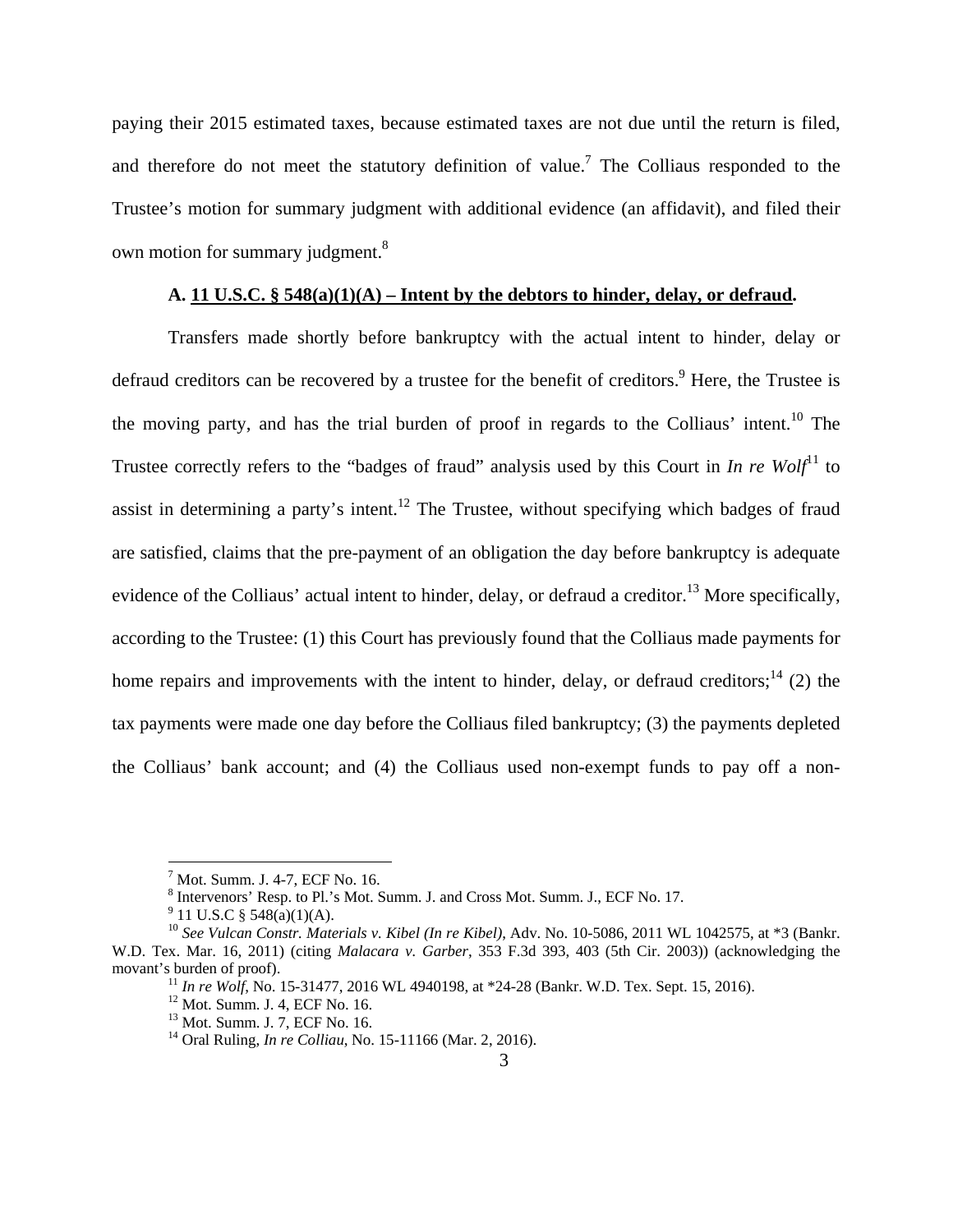paying their 2015 estimated taxes, because estimated taxes are not due until the return is filed, and therefore do not meet the statutory definition of value.<sup>7</sup> The Colliaus responded to the Trustee's motion for summary judgment with additional evidence (an affidavit), and filed their own motion for summary judgment.<sup>8</sup>

## **A. 11 U.S.C. § 548(a)(1)(A) – Intent by the debtors to hinder, delay, or defraud.**

 Transfers made shortly before bankruptcy with the actual intent to hinder, delay or defraud creditors can be recovered by a trustee for the benefit of creditors.<sup>9</sup> Here, the Trustee is the moving party, and has the trial burden of proof in regards to the Colliaus' intent.<sup>10</sup> The Trustee correctly refers to the "badges of fraud" analysis used by this Court in *In re Wolf*<sup>11</sup> to assist in determining a party's intent.<sup>12</sup> The Trustee, without specifying which badges of fraud are satisfied, claims that the pre-payment of an obligation the day before bankruptcy is adequate evidence of the Colliaus' actual intent to hinder, delay, or defraud a creditor.<sup>13</sup> More specifically, according to the Trustee: (1) this Court has previously found that the Colliaus made payments for home repairs and improvements with the intent to hinder, delay, or defraud creditors;<sup>14</sup> (2) the tax payments were made one day before the Colliaus filed bankruptcy; (3) the payments depleted the Colliaus' bank account; and (4) the Colliaus used non-exempt funds to pay off a non-

1

<sup>7</sup> Mot. Summ. J. 4-7, ECF No. 16.

<sup>&</sup>lt;sup>8</sup> Intervenors' Resp. to Pl.'s Mot. Summ. J. and Cross Mot. Summ. J., ECF No. 17.

<sup>&</sup>lt;sup>9</sup> 11 U.S.C § 548(a)(1)(A).<br><sup>10</sup> *See Vulcan Constr. Materials v. Kibel (In re Kibel)*, Adv. No. 10-5086, 2011 WL 1042575, at \*3 (Bankr. W.D. Tex. Mar. 16, 2011) (citing *Malacara v. Garber*, 353 F.3d 393, 403 (5th Cir. 2003)) (acknowledging the movant's burden of proof).<br><sup>11</sup> *In re Wolf*, No. 15-31477, 2016 WL 4940198, at \*24-28 (Bankr. W.D. Tex. Sept. 15, 2016).<br><sup>12</sup> Mot. Summ. J. 4, ECF No. 16.

<sup>13</sup> Mot. Summ. J. 7, ECF No. 16.

<sup>14</sup> Oral Ruling, *In re Colliau*, No. 15-11166 (Mar. 2, 2016).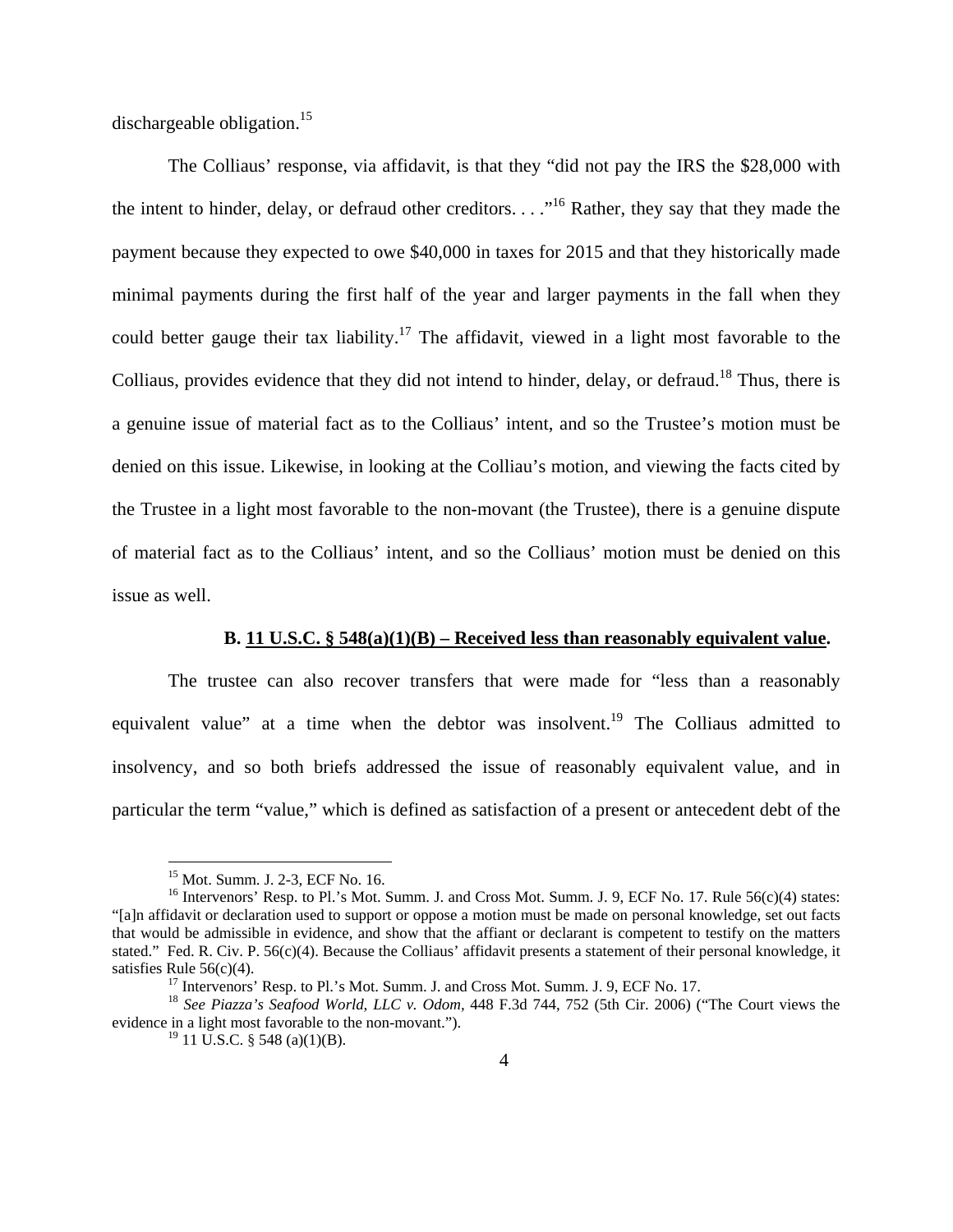dischargeable obligation.<sup>15</sup>

 The Colliaus' response, via affidavit, is that they "did not pay the IRS the \$28,000 with the intent to hinder, delay, or defraud other creditors.  $\ldots$ <sup>16</sup> Rather, they say that they made the payment because they expected to owe \$40,000 in taxes for 2015 and that they historically made minimal payments during the first half of the year and larger payments in the fall when they could better gauge their tax liability.<sup>17</sup> The affidavit, viewed in a light most favorable to the Colliaus, provides evidence that they did not intend to hinder, delay, or defraud.<sup>18</sup> Thus, there is a genuine issue of material fact as to the Colliaus' intent, and so the Trustee's motion must be denied on this issue. Likewise, in looking at the Colliau's motion, and viewing the facts cited by the Trustee in a light most favorable to the non-movant (the Trustee), there is a genuine dispute of material fact as to the Colliaus' intent, and so the Colliaus' motion must be denied on this issue as well.

#### **B. 11 U.S.C. § 548(a)(1)(B) – Received less than reasonably equivalent value.**

 The trustee can also recover transfers that were made for "less than a reasonably equivalent value" at a time when the debtor was insolvent.<sup>19</sup> The Colliaus admitted to insolvency, and so both briefs addressed the issue of reasonably equivalent value, and in particular the term "value," which is defined as satisfaction of a present or antecedent debt of the

 $\overline{a}$ 

<sup>15</sup> Mot. Summ. J. 2-3, ECF No. 16.

 $16$  Intervenors' Resp. to Pl.'s Mot. Summ. J. and Cross Mot. Summ. J. 9, ECF No. 17. Rule 56(c)(4) states: "[a]n affidavit or declaration used to support or oppose a motion must be made on personal knowledge, set out facts that would be admissible in evidence, and show that the affiant or declarant is competent to testify on the matters stated." Fed. R. Civ. P. 56(c)(4). Because the Colliaus' affidavit presents a statement of their personal knowledge, it satisfies Rule 56(c)(4).<br><sup>17</sup> Intervenors' Resp. to Pl.'s Mot. Summ. J. and Cross Mot. Summ. J. 9, ECF No. 17.<br><sup>18</sup> *See Piazza's Seafood World, LLC v. Odom,* 448 F.3d 744, 752 (5th Cir. 2006) ("The Court views the

evidence in a light most favorable to the non-movant.").

 $^{19}$  11 U.S.C. § 548 (a)(1)(B).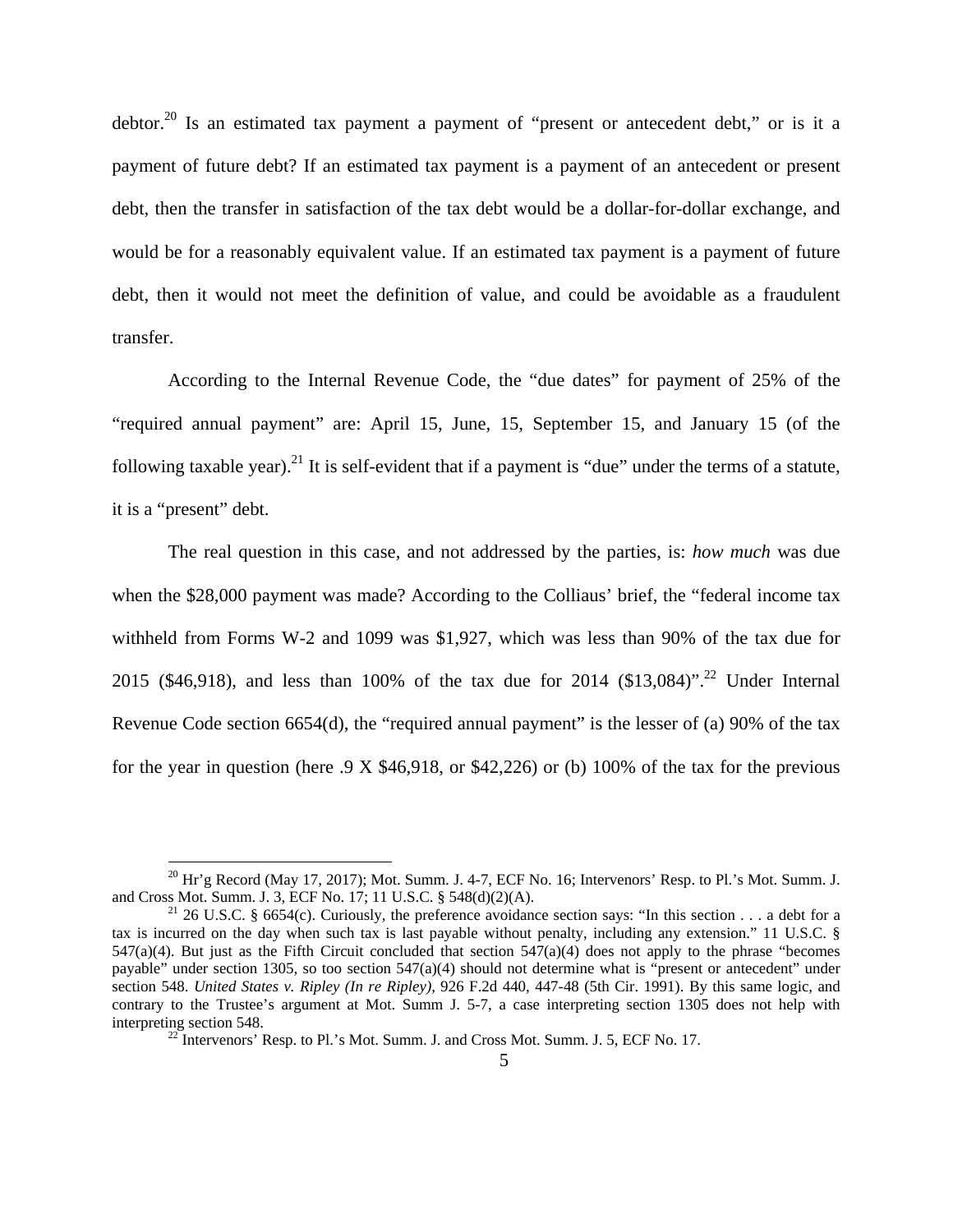debtor.<sup>20</sup> Is an estimated tax payment a payment of "present or antecedent debt," or is it a payment of future debt? If an estimated tax payment is a payment of an antecedent or present debt, then the transfer in satisfaction of the tax debt would be a dollar-for-dollar exchange, and would be for a reasonably equivalent value. If an estimated tax payment is a payment of future debt, then it would not meet the definition of value, and could be avoidable as a fraudulent transfer.

 According to the Internal Revenue Code, the "due dates" for payment of 25% of the "required annual payment" are: April 15, June, 15, September 15, and January 15 (of the following taxable year).<sup>21</sup> It is self-evident that if a payment is "due" under the terms of a statute, it is a "present" debt.

The real question in this case, and not addressed by the parties, is: *how much* was due when the \$28,000 payment was made? According to the Colliaus' brief, the "federal income tax withheld from Forms W-2 and 1099 was \$1,927, which was less than 90% of the tax due for 2015 (\$46,918), and less than 100% of the tax due for 2014 (\$13,084)".<sup>22</sup> Under Internal Revenue Code section 6654(d), the "required annual payment" is the lesser of (a) 90% of the tax for the year in question (here  $.9 \times $46,918$ , or \$42,226) or (b) 100% of the tax for the previous

 $\overline{a}$ 

<sup>&</sup>lt;sup>20</sup> Hr'g Record (May 17, 2017); Mot. Summ. J. 4-7, ECF No. 16; Intervenors' Resp. to Pl.'s Mot. Summ. J. and Cross Mot. Summ. J. 3, ECF No. 17; 11 U.S.C. § 548(d)(2)(A).

<sup>&</sup>lt;sup>21</sup> 26 U.S.C. § 6654(c). Curiously, the preference avoidance section says: "In this section . . . a debt for a tax is incurred on the day when such tax is last payable without penalty, including any extension." 11 U.S.C. §  $547(a)(4)$ . But just as the Fifth Circuit concluded that section  $547(a)(4)$  does not apply to the phrase "becomes" payable" under section 1305, so too section 547(a)(4) should not determine what is "present or antecedent" under section 548. *United States v. Ripley (In re Ripley),* 926 F.2d 440, 447-48 (5th Cir. 1991). By this same logic, and contrary to the Trustee's argument at Mot. Summ J. 5-7, a case interpreting section 1305 does not help with interpreting section 548. 22 Intervenors' Resp. to Pl.'s Mot. Summ. J. and Cross Mot. Summ. J. 5, ECF No. 17.